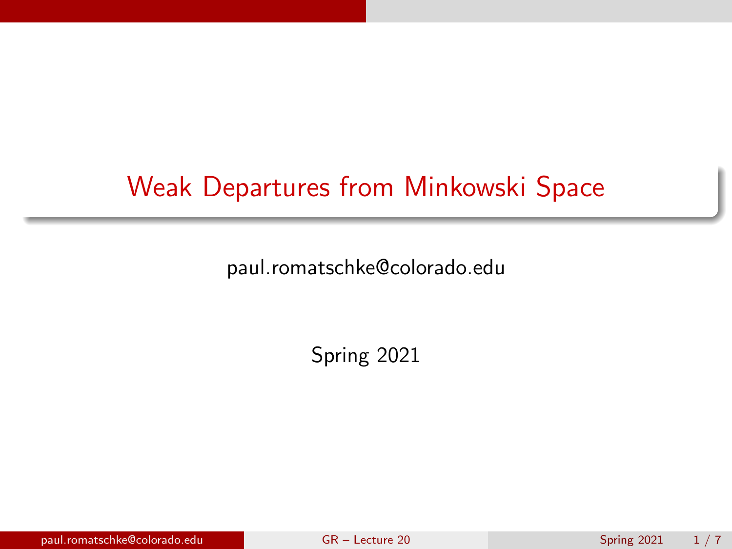## <span id="page-0-0"></span>Weak Departures from Minkowski Space

paul.romatschke@colorado.edu

Spring 2021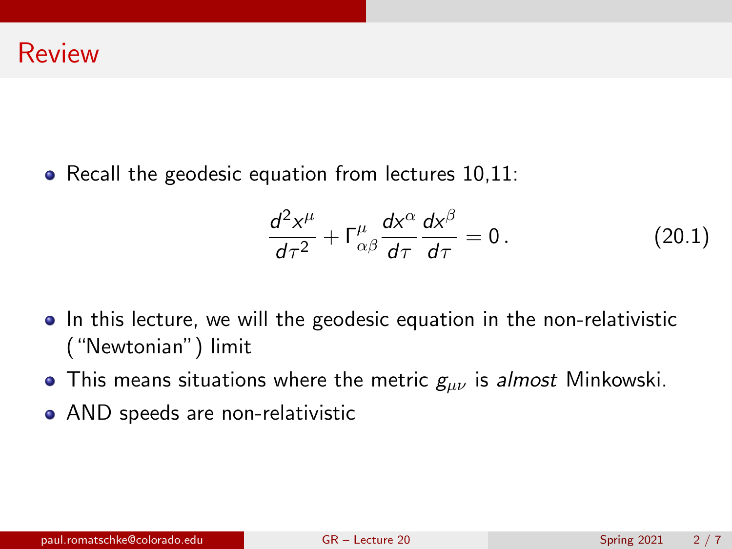• Recall the geodesic equation from lectures 10,11:

$$
\frac{d^2x^{\mu}}{d\tau^2} + \Gamma^{\mu}_{\alpha\beta}\frac{dx^{\alpha}}{d\tau}\frac{dx^{\beta}}{d\tau} = 0.
$$
 (20.1)

- In this lecture, we will the geodesic equation in the non-relativistic ("Newtonian") limit
- This means situations where the metric  $g_{\mu\nu}$  is almost Minkowski.
- AND speeds are non-relativistic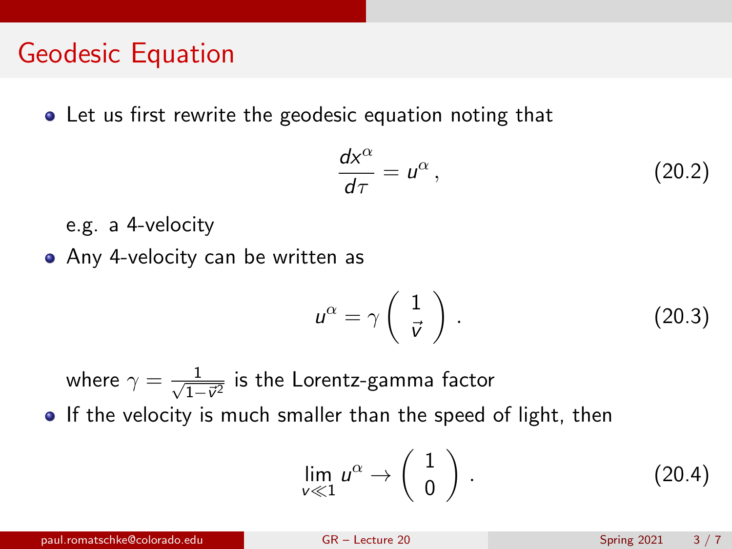**•** Let us first rewrite the geodesic equation noting that

$$
\frac{dx^{\alpha}}{d\tau} = u^{\alpha},\qquad(20.2)
$$

e.g. a 4-velocity

Any 4-velocity can be written as

$$
u^{\alpha} = \gamma \left( \begin{array}{c} 1 \\ \vec{v} \end{array} \right) . \tag{20.3}
$$

where  $\gamma = \frac{1}{\sqrt{1}}$  $\frac{1}{1-\vec{v}^2}$  is the Lorentz-gamma factor • If the velocity is much smaller than the speed of light, then

$$
\lim_{v \ll 1} u^{\alpha} \to \left(\begin{array}{c} 1 \\ 0 \end{array}\right). \tag{20.4}
$$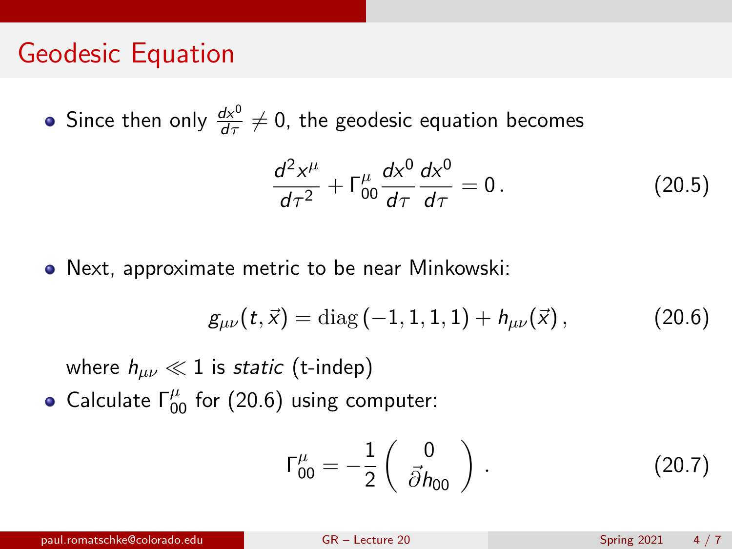Since then only  $\frac{dx^{0}}{d\tau}\neq0$ , the geodesic equation becomes

$$
\frac{d^2x^{\mu}}{d\tau^2} + \Gamma^{\mu}_{00}\frac{dx^0}{d\tau}\frac{dx^0}{d\tau} = 0.
$$
 (20.5)

Next, approximate metric to be near Minkowski:

<span id="page-3-0"></span>
$$
g_{\mu\nu}(t,\vec{x}) = \text{diag}(-1,1,1,1) + h_{\mu\nu}(\vec{x}), \qquad (20.6)
$$

where  $h_{\mu\nu} \ll 1$  is static (t-indep)

Calculate  $\Gamma^{\mu}_{00}$  for [\(20.6\)](#page-3-0) using computer:

$$
\Gamma^{\mu}_{00} = -\frac{1}{2} \begin{pmatrix} 0 \\ \vec{\partial} h_{00} \end{pmatrix} . \tag{20.7}
$$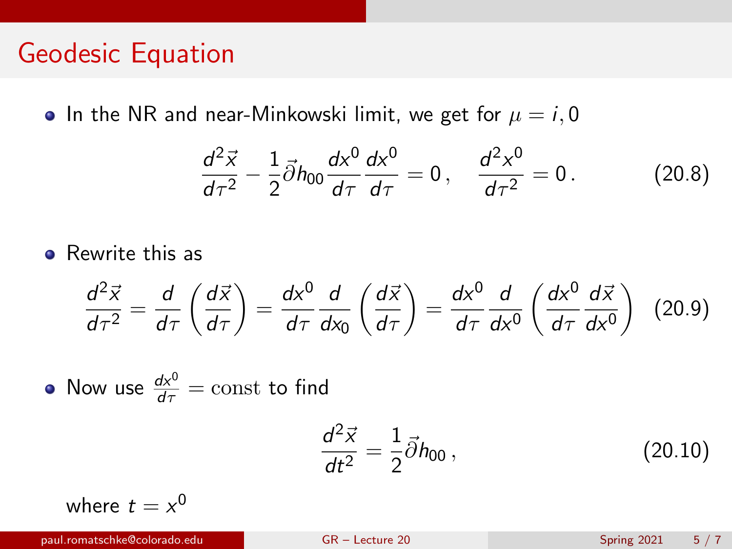• In the NR and near-Minkowski limit, we get for  $\mu = i, 0$ 

$$
\frac{d^2\vec{x}}{d\tau^2} - \frac{1}{2}\vec{\partial}h_{00}\frac{dx^0}{d\tau}\frac{dx^0}{d\tau} = 0, \quad \frac{d^2x^0}{d\tau^2} = 0.
$$
 (20.8)

**•** Rewrite this as

$$
\frac{d^2\vec{x}}{d\tau^2} = \frac{d}{d\tau}\left(\frac{d\vec{x}}{d\tau}\right) = \frac{dx^0}{d\tau}\frac{d}{dx_0}\left(\frac{d\vec{x}}{d\tau}\right) = \frac{dx^0}{d\tau}\frac{d}{dx^0}\left(\frac{dx^0}{d\tau}\frac{d\vec{x}}{dx^0}\right)
$$
(20.9)

Now use  $\frac{dx^0}{d\tau} = \mathrm{const}$  to find

$$
\frac{d^2\vec{x}}{dt^2} = \frac{1}{2}\vec{\partial}h_{00},
$$
 (20.10)

where  $t = x^0$ 

paul.romatschke@colorado.edu [GR – Lecture 20](#page-0-0) Spring 2021 5 / 7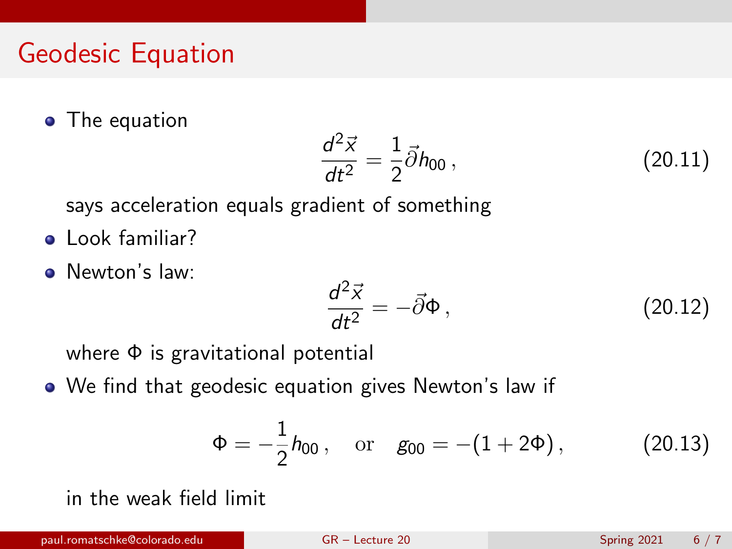• The equation

$$
\frac{d^2\vec{x}}{dt^2} = \frac{1}{2}\vec{\partial}h_{00} , \qquad (20.11)
$$

says acceleration equals gradient of something

- **a** Look familiar?
- **O** Newton's law:

$$
\frac{d^2\vec{x}}{dt^2} = -\vec{\partial}\Phi\,,\tag{20.12}
$$

where Φ is gravitational potential

We find that geodesic equation gives Newton's law if

<span id="page-5-0"></span>
$$
\Phi = -\frac{1}{2} h_{00}, \quad \text{or} \quad g_{00} = -(1 + 2\Phi), \tag{20.13}
$$

in the weak field limit